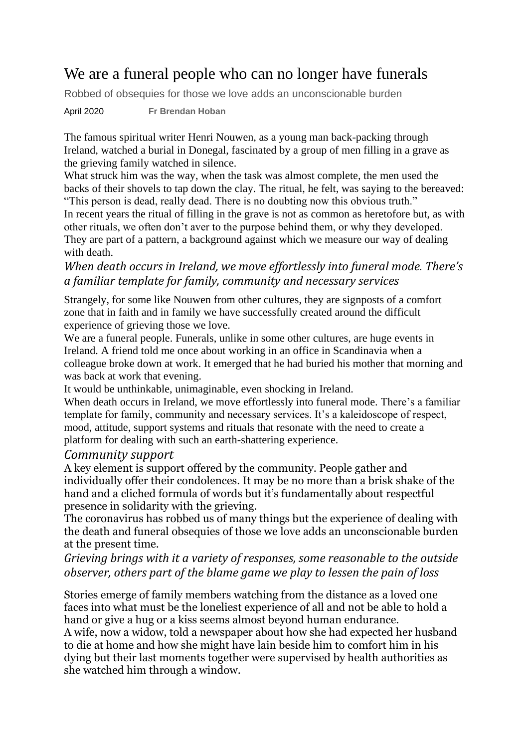# We are a funeral people who can no longer have funerals

Robbed of obsequies for those we love adds an unconscionable burden

April 2020 **Fr Brendan Hoban**

The famous spiritual writer [Henri Nouwen,](https://www.irishtimes.com/topics/topics-7.1213540?article=true&tag_person=Henri+Nouwen) as a young man back-packing through [Ireland,](https://www.irishtimes.com/news) watched a burial in [Donegal,](https://www.irishtimes.com/topics/topics-7.1213540?article=true&tag_location=Donegal) fascinated by a group of men filling in a grave as the grieving family watched in silence.

What struck him was the way, when the task was almost complete, the men used the backs of their shovels to tap down the clay. The ritual, he felt, was saying to the bereaved:

"This person is dead, really dead. There is no doubting now this obvious truth." In recent years the ritual of filling in the grave is not as common as heretofore but, as with other rituals, we often don't aver to the purpose behind them, or why they developed. They are part of a pattern, a background against which we measure our way of dealing with death.

## *When death occurs in Ireland, we move effortlessly into funeral mode. There's a familiar template for family, community and necessary services*

Strangely, for some like Nouwen from other cultures, they are signposts of a comfort zone that in faith and in family we have successfully created around the difficult experience of grieving those we love.

We are a funeral people. Funerals, unlike in some other cultures, are huge events in Ireland. A friend told me once about working in an office in Scandinavia when a colleague broke down at work. It emerged that he had buried his mother that morning and was back at work that evening.

It would be unthinkable, unimaginable, even shocking in Ireland.

When death occurs in Ireland, we move effortlessly into funeral mode. There's a familiar template for family, community and necessary services. It's a kaleidoscope of respect, mood, attitude, support systems and rituals that resonate with the need to create a platform for dealing with such an earth-shattering experience.

#### *Community support*

A key element is support offered by the community. People gather and individually offer their condolences. It may be no more than a brisk shake of the hand and a cliched formula of words but it's fundamentally about respectful presence in solidarity with the grieving.

The coronavirus has robbed us of many things but the experience of dealing with the death and funeral obsequies of those we love adds an unconscionable burden at the present time.

## *Grieving brings with it a variety of responses, some reasonable to the outside observer, others part of the blame game we play to lessen the pain of loss*

Stories emerge of family members watching from the distance as a loved one faces into what must be the loneliest experience of all and not be able to hold a hand or give a hug or a kiss seems almost beyond human endurance. A wife, now a widow, told a newspaper about how she had expected her husband to die at home and how she might have lain beside him to comfort him in his dying but their last moments together were supervised by health authorities as she watched him through a window.